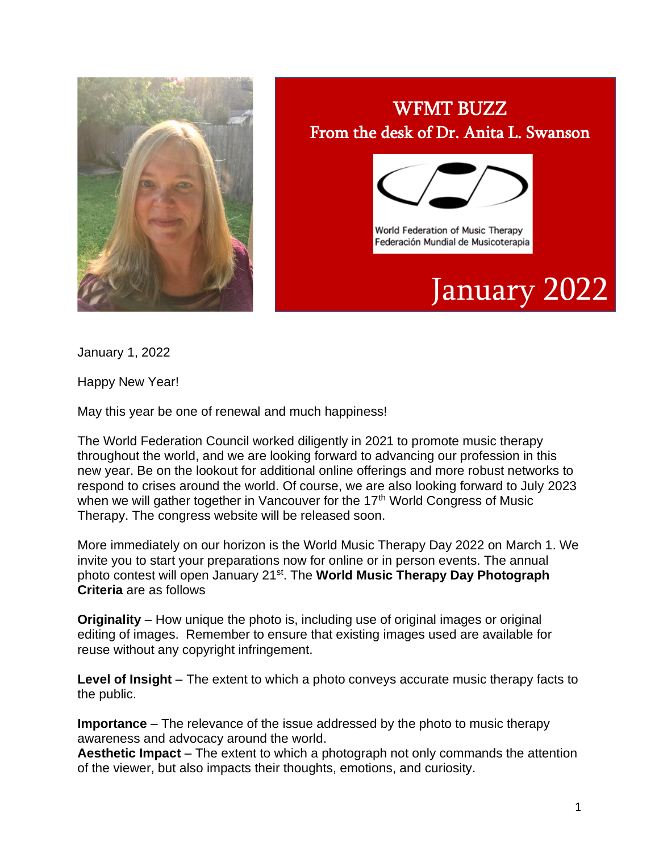

## WFMT BUZZ From the desk of Dr. Anita L. Swanson



World Federation of Music Therapy Federación Mundial de Musicoterapia

## January 2022

January 1, 2022

Happy New Year!

May this year be one of renewal and much happiness!

The World Federation Council worked diligently in 2021 to promote music therapy throughout the world, and we are looking forward to advancing our profession in this new year. Be on the lookout for additional online offerings and more robust networks to respond to crises around the world. Of course, we are also looking forward to July 2023 when we will gather together in Vancouver for the 17<sup>th</sup> World Congress of Music Therapy. The congress website will be released soon.

More immediately on our horizon is the World Music Therapy Day 2022 on March 1. We invite you to start your preparations now for online or in person events. The annual photo contest will open January 21st. The **World Music Therapy Day Photograph Criteria** are as follows

**Originality** – How unique the photo is, including use of original images or original editing of images. Remember to ensure that existing images used are available for reuse without any copyright infringement.

**Level of Insight** – The extent to which a photo conveys accurate music therapy facts to the public.

**Importance** – The relevance of the issue addressed by the photo to music therapy awareness and advocacy around the world.

**Aesthetic Impact** – The extent to which a photograph not only commands the attention of the viewer, but also impacts their thoughts, emotions, and curiosity.